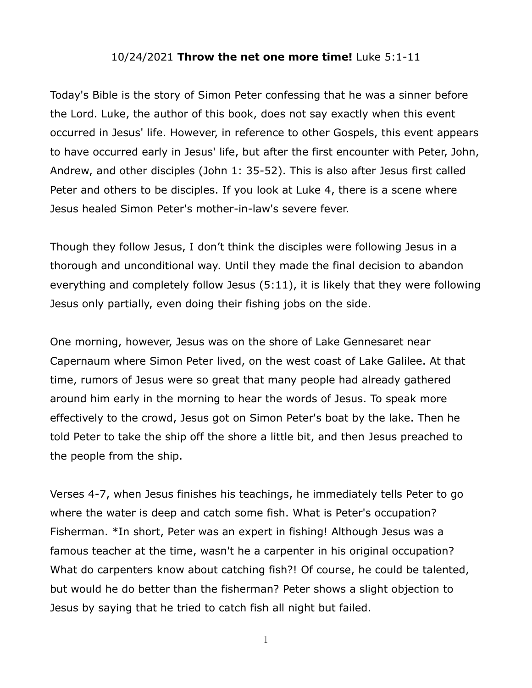## 10/24/2021 **Throw the net one more time!** Luke 5:1-11

Today's Bible is the story of Simon Peter confessing that he was a sinner before the Lord. Luke, the author of this book, does not say exactly when this event occurred in Jesus' life. However, in reference to other Gospels, this event appears to have occurred early in Jesus' life, but after the first encounter with Peter, John, Andrew, and other disciples (John 1: 35-52). This is also after Jesus first called Peter and others to be disciples. If you look at Luke 4, there is a scene where Jesus healed Simon Peter's mother-in-law's severe fever.

Though they follow Jesus, I don't think the disciples were following Jesus in a thorough and unconditional way. Until they made the final decision to abandon everything and completely follow Jesus (5:11), it is likely that they were following Jesus only partially, even doing their fishing jobs on the side.

One morning, however, Jesus was on the shore of Lake Gennesaret near Capernaum where Simon Peter lived, on the west coast of Lake Galilee. At that time, rumors of Jesus were so great that many people had already gathered around him early in the morning to hear the words of Jesus. To speak more effectively to the crowd, Jesus got on Simon Peter's boat by the lake. Then he told Peter to take the ship off the shore a little bit, and then Jesus preached to the people from the ship.

Verses 4-7, when Jesus finishes his teachings, he immediately tells Peter to go where the water is deep and catch some fish. What is Peter's occupation? Fisherman. \*In short, Peter was an expert in fishing! Although Jesus was a famous teacher at the time, wasn't he a carpenter in his original occupation? What do carpenters know about catching fish?! Of course, he could be talented, but would he do better than the fisherman? Peter shows a slight objection to Jesus by saying that he tried to catch fish all night but failed.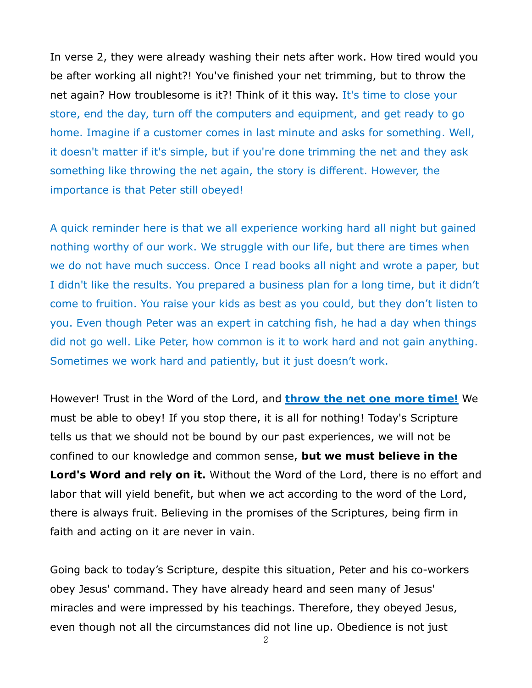In verse 2, they were already washing their nets after work. How tired would you be after working all night?! You've finished your net trimming, but to throw the net again? How troublesome is it?! Think of it this way. It's time to close your store, end the day, turn off the computers and equipment, and get ready to go home. Imagine if a customer comes in last minute and asks for something. Well, it doesn't matter if it's simple, but if you're done trimming the net and they ask something like throwing the net again, the story is different. However, the importance is that Peter still obeyed!

A quick reminder here is that we all experience working hard all night but gained nothing worthy of our work. We struggle with our life, but there are times when we do not have much success. Once I read books all night and wrote a paper, but I didn't like the results. You prepared a business plan for a long time, but it didn't come to fruition. You raise your kids as best as you could, but they don't listen to you. Even though Peter was an expert in catching fish, he had a day when things did not go well. Like Peter, how common is it to work hard and not gain anything. Sometimes we work hard and patiently, but it just doesn't work.

However! Trust in the Word of the Lord, and **throw the net one more time!** We must be able to obey! If you stop there, it is all for nothing! Today's Scripture tells us that we should not be bound by our past experiences, we will not be confined to our knowledge and common sense, **but we must believe in the Lord's Word and rely on it.** Without the Word of the Lord, there is no effort and labor that will yield benefit, but when we act according to the word of the Lord, there is always fruit. Believing in the promises of the Scriptures, being firm in faith and acting on it are never in vain.

Going back to today's Scripture, despite this situation, Peter and his co-workers obey Jesus' command. They have already heard and seen many of Jesus' miracles and were impressed by his teachings. Therefore, they obeyed Jesus, even though not all the circumstances did not line up. Obedience is not just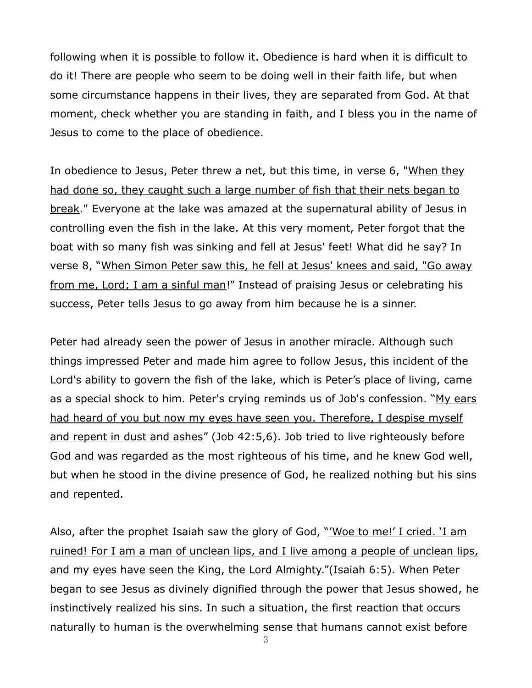following when it is possible to follow it. Obedience is hard when it is difficult to do it! There are people who seem to be doing well in their faith life, but when some circumstance happens in their lives, they are separated from God. At that moment, check whether you are standing in faith, and I bless you in the name of Jesus to come to the place of obedience.

In obedience to Jesus, Peter threw a net, but this time, in verse 6, "When they had done so, they caught such a large number of fish that their nets began to break." Everyone at the lake was amazed at the supernatural ability of Jesus in controlling even the fish in the lake. At this very moment, Peter forgot that the boat with so many fish was sinking and fell at Jesus' feet! What did he say? In verse 8, "When Simon Peter saw this, he fell at Jesus' knees and said, "Go away from me, Lord; I am a sinful man!" Instead of praising Jesus or celebrating his success, Peter tells Jesus to go away from him because he is a sinner.

Peter had already seen the power of Jesus in another miracle. Although such things impressed Peter and made him agree to follow Jesus, this incident of the Lord's ability to govern the fish of the lake, which is Peter's place of living, came as a special shock to him. Peter's crying reminds us of Job's confession. "My ears had heard of you but now my eyes have seen you. Therefore, I despise myself and repent in dust and ashes" (Job 42:5,6). Job tried to live righteously before God and was regarded as the most righteous of his time, and he knew God well, but when he stood in the divine presence of God, he realized nothing but his sins and repented.

Also, after the prophet Isaiah saw the glory of God, "'Woe to me!' I cried. 'I am ruined! For I am a man of unclean lips, and I live among a people of unclean lips, and my eyes have seen the King, the Lord Almighty."(Isaiah 6:5). When Peter began to see Jesus as divinely dignified through the power that Jesus showed, he instinctively realized his sins. In such a situation, the first reaction that occurs naturally to human is the overwhelming sense that humans cannot exist before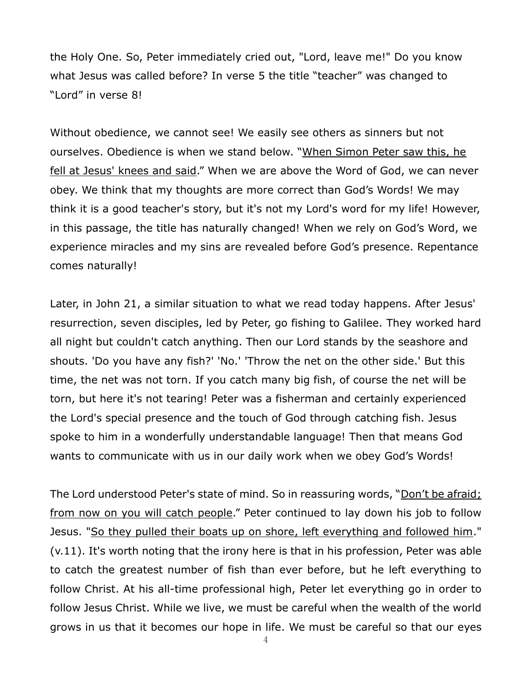the Holy One. So, Peter immediately cried out, "Lord, leave me!" Do you know what Jesus was called before? In verse 5 the title "teacher" was changed to "Lord" in verse 8!

Without obedience, we cannot see! We easily see others as sinners but not ourselves. Obedience is when we stand below. "When Simon Peter saw this, he fell at Jesus' knees and said." When we are above the Word of God, we can never obey. We think that my thoughts are more correct than God's Words! We may think it is a good teacher's story, but it's not my Lord's word for my life! However, in this passage, the title has naturally changed! When we rely on God's Word, we experience miracles and my sins are revealed before God's presence. Repentance comes naturally!

Later, in John 21, a similar situation to what we read today happens. After Jesus' resurrection, seven disciples, led by Peter, go fishing to Galilee. They worked hard all night but couldn't catch anything. Then our Lord stands by the seashore and shouts. 'Do you have any fish?' 'No.' 'Throw the net on the other side.' But this time, the net was not torn. If you catch many big fish, of course the net will be torn, but here it's not tearing! Peter was a fisherman and certainly experienced the Lord's special presence and the touch of God through catching fish. Jesus spoke to him in a wonderfully understandable language! Then that means God wants to communicate with us in our daily work when we obey God's Words!

The Lord understood Peter's state of mind. So in reassuring words, "Don't be afraid; from now on you will catch people." Peter continued to lay down his job to follow Jesus. "So they pulled their boats up on shore, left everything and followed him." (v.11). It's worth noting that the irony here is that in his profession, Peter was able to catch the greatest number of fish than ever before, but he left everything to follow Christ. At his all-time professional high, Peter let everything go in order to follow Jesus Christ. While we live, we must be careful when the wealth of the world grows in us that it becomes our hope in life. We must be careful so that our eyes